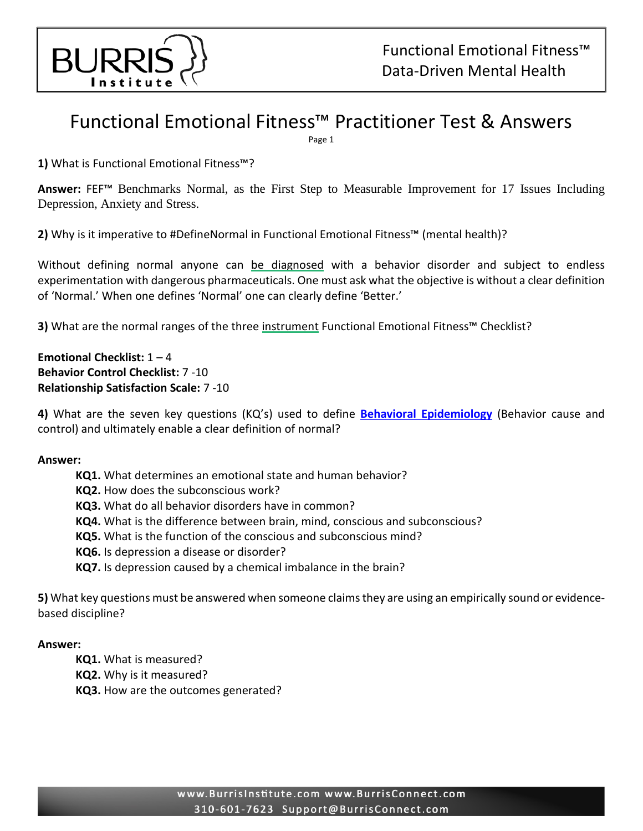

# Functional Emotional Fitness™ Practitioner Test & Answers

Page 1

**1)** What is Functional Emotional Fitness™?

**Answer:** FEF™ Benchmarks Normal, as the First Step to Measurable Improvement for 17 Issues Including Depression, Anxiety and Stress.

**2)** Why is it imperative to #DefineNormal in Functional Emotional Fitness™ (mental health)?

Without defining normal anyone can be diagnosed with a behavior disorder and subject to endless experimentation with dangerous pharmaceuticals. One must ask what the objective is without a clear definition of 'Normal.' When one defines 'Normal' one can clearly define 'Better.'

**3)** What are the normal ranges of the three instrument Functional Emotional Fitness™ Checklist?

**Emotional Checklist:** 1 – 4 **Behavior Control Checklist:** 7 -10 **Relationship Satisfaction Scale:** 7 -10

**4)** What are the seven key questions (KQ's) used to define **[Behavioral Epidemiology](http://www.burrisinstitute.com/life-coach/studies-and-results/subconscious-restructuring-epidemiology)** (Behavior cause and control) and ultimately enable a clear definition of normal?

### **Answer:**

**KQ1.** What determines an emotional state and human behavior? **KQ2.** How does the subconscious work? **KQ3.** What do all behavior disorders have in common? **KQ4.** What is the difference between brain, mind, conscious and subconscious? **KQ5.** What is the function of the conscious and subconscious mind? **KQ6.** Is depression a disease or disorder? **KQ7.** Is depression caused by a chemical imbalance in the brain?

**5)** What key questions must be answered when someone claims they are using an empirically sound or evidencebased discipline?

### **Answer:**

- **KQ1.** What is measured?
- **KQ2.** Why is it measured?
- **KQ3.** How are the outcomes generated?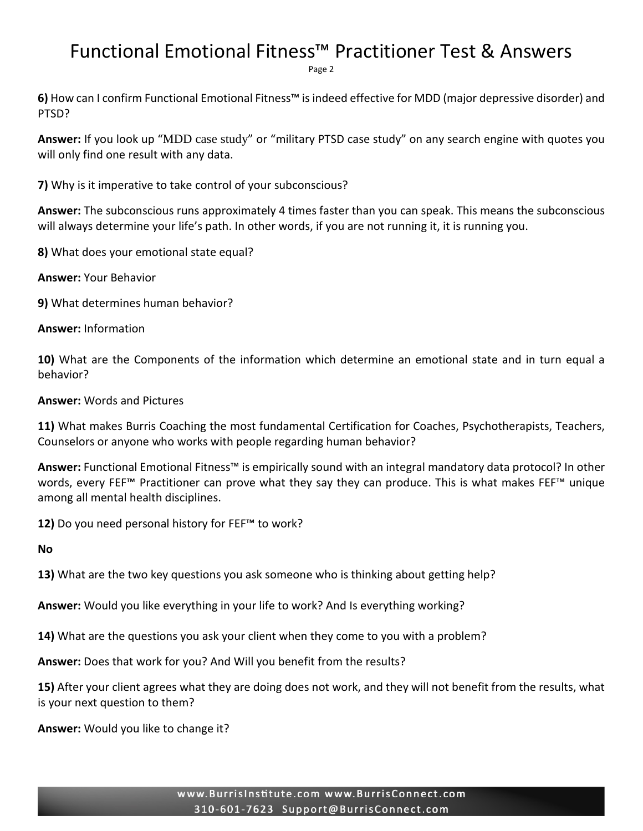## Functional Emotional Fitness™ Practitioner Test & Answers

Page 2

**6)** How can I confirm Functional Emotional Fitness™ is indeed effective for MDD (major depressive disorder) and PTSD?

**Answer:** If you look up "MDD case study" or "military PTSD case study" on any search engine with quotes you will only find one result with any data.

**7)** Why is it imperative to take control of your subconscious?

**Answer:** The subconscious runs approximately 4 times faster than you can speak. This means the subconscious will always determine your life's path. In other words, if you are not running it, it is running you.

**8)** What does your emotional state equal?

**Answer:** Your Behavior

**9)** What determines human behavior?

**Answer:** Information

**10)** What are the Components of the information which determine an emotional state and in turn equal a behavior?

**Answer:** Words and Pictures

**11)** What makes Burris Coaching the most fundamental Certification for Coaches, Psychotherapists, Teachers, Counselors or anyone who works with people regarding human behavior?

**Answer:** Functional Emotional Fitness™ is empirically sound with an integral mandatory data protocol? In other words, every FEF™ Practitioner can prove what they say they can produce. This is what makes FEF™ unique among all mental health disciplines.

**12)** Do you need personal history for FEF™ to work?

**No**

**13)** What are the two key questions you ask someone who is thinking about getting help?

**Answer:** Would you like everything in your life to work? And Is everything working?

**14)** What are the questions you ask your client when they come to you with a problem?

**Answer:** Does that work for you? And Will you benefit from the results?

**15)** After your client agrees what they are doing does not work, and they will not benefit from the results, what is your next question to them?

**Answer:** Would you like to change it?